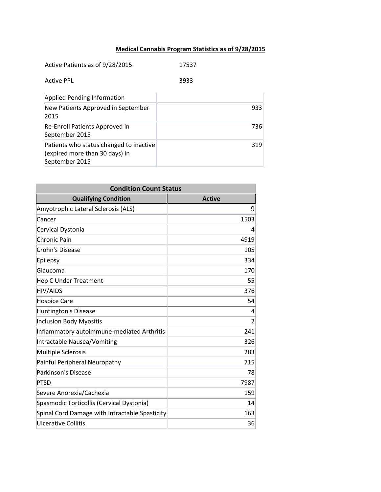## **Medical Cannabis Program Statistics as of 9/28/2015**

| Active Patients as of 9/28/2015    | 17537 |      |
|------------------------------------|-------|------|
| Active PPL                         | 3933  |      |
| Applied Pending Information        |       |      |
| New Patients Approved in September |       | 9331 |

| New Patients Approved in September<br>2015                                                  | 933 |
|---------------------------------------------------------------------------------------------|-----|
| Re-Enroll Patients Approved in<br>September 2015                                            | 736 |
| Patients who status changed to inactive<br>(expired more than 30 days) in<br>September 2015 | 319 |

| <b>Condition Count Status</b>                  |                |  |
|------------------------------------------------|----------------|--|
| <b>Qualifying Condition</b>                    | <b>Active</b>  |  |
| Amyotrophic Lateral Sclerosis (ALS)            | 9              |  |
| Cancer                                         | 1503           |  |
| Cervical Dystonia                              | 4              |  |
| <b>Chronic Pain</b>                            | 4919           |  |
| <b>Crohn's Disease</b>                         | 105            |  |
| Epilepsy                                       | 334            |  |
| Glaucoma                                       | 170            |  |
| <b>Hep C Under Treatment</b>                   | 55             |  |
| <b>HIV/AIDS</b>                                | 376            |  |
| <b>Hospice Care</b>                            | 54             |  |
| <b>Huntington's Disease</b>                    | 4              |  |
| <b>Inclusion Body Myositis</b>                 | $\overline{2}$ |  |
| Inflammatory autoimmune-mediated Arthritis     | 241            |  |
| Intractable Nausea/Vomiting                    | 326            |  |
| <b>Multiple Sclerosis</b>                      | 283            |  |
| Painful Peripheral Neuropathy                  | 715            |  |
| Parkinson's Disease                            | 78             |  |
| <b>PTSD</b>                                    | 7987           |  |
| Severe Anorexia/Cachexia                       | 159            |  |
| Spasmodic Torticollis (Cervical Dystonia)      | 14             |  |
| Spinal Cord Damage with Intractable Spasticity | 163            |  |
| <b>Ulcerative Collitis</b>                     | 36             |  |